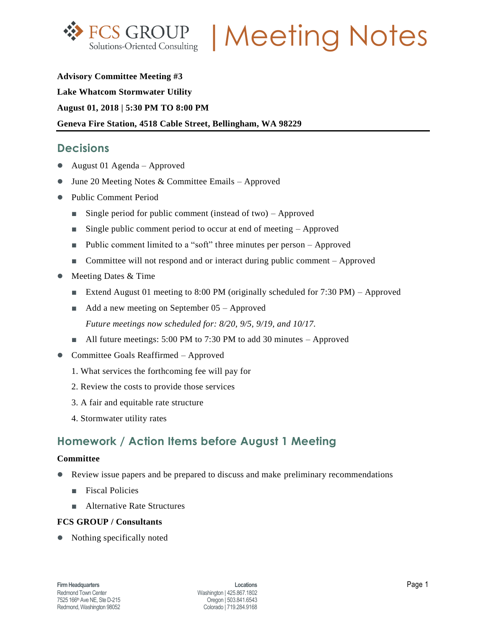

FCS GROUP | Meeting Notes

# **Advisory Committee Meeting #3 Lake Whatcom Stormwater Utility August 01, 2018 | 5:30 PM TO 8:00 PM Geneva Fire Station, 4518 Cable Street, Bellingham, WA 98229**

### **Decisions**

- August 01 Agenda Approved
- June 20 Meeting Notes & Committee Emails Approved
- Public Comment Period
	- Single period for public comment (instead of two) Approved
	- Single public comment period to occur at end of meeting Approved
	- Public comment limited to a "soft" three minutes per person Approved
	- Committee will not respond and or interact during public comment Approved
- Meeting Dates & Time
	- Extend August 01 meeting to 8:00 PM (originally scheduled for 7:30 PM) Approved
	- Add a new meeting on September 05 Approved *Future meetings now scheduled for: 8/20, 9/5, 9/19, and 10/17.*
	- All future meetings: 5:00 PM to 7:30 PM to add 30 minutes Approved
- Committee Goals Reaffirmed Approved
	- 1. What services the forthcoming fee will pay for
	- 2. Review the costs to provide those services
	- 3. A fair and equitable rate structure
	- 4. Stormwater utility rates

# **Homework / Action Items before August 1 Meeting**

#### **Committee**

- Review issue papers and be prepared to discuss and make preliminary recommendations
	- **■** Fiscal Policies
	- Alternative Rate Structures

### **FCS GROUP / Consultants**

• Nothing specifically noted